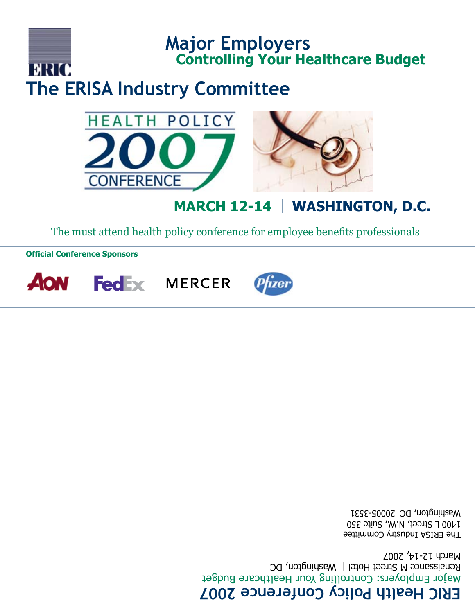# **ERIC Health Policy Conference 2007**

Major Employers: Controlling Your Healthcare Budget Renaissance M Street Hotel | Washington, DC March 12-14, 2007

The ERISA Industry Committee 1400 L Street, N.W., Suite 350 Washington, DC 20005-3531









**Official Conference Sponsors**



**Major Employers**

**Controlling Your Healthcare Budget**

The must attend health policy conference for employee benefits professionals

## BRIO **The ERISA Industry Committee**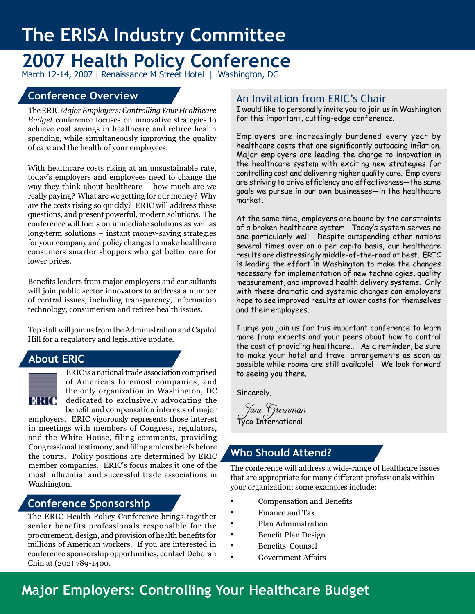# **The ERISA Industry Committee**

# **2007 Health Policy Conference**

March 12-14, 2007 | Renaissance M Street Hotel | Washington, DC

### **Conference Overview**

The ERIC *Major Employers: Controlling Your Healthcare Budget* conference focuses on innovative strategies to achieve cost savings in healthcare and retiree health spending, while simultaneously improving the quality of care and the health of your employees.

With healthcare costs rising at an unsustainable rate, today's employers and employees need to change the way they think about healthcare – how much are we really paying? What are we getting for our money? Why are the costs rising so quickly? ERIC will address these questions, and present powerful, modern solutions. The conference will focus on immediate solutions as well as long-term solutions – instant money-saving strategies for your company and policy changes to make healthcare consumers smarter shoppers who get better care for lower prices.

Benefits leaders from major employers and consultants will join public sector innovators to address a number of central issues, including transparency, information technology, consumerism and retiree health issues.

Top staff will join us from the Administration and Capitol Hill for a regulatory and legislative update.

### **About ERIC**



ERIC is a national trade association comprised of America's foremost companies, and the only organization in Washington, DC dedicated to exclusively advocating the benefit and compensation interests of major

employers. ERIC vigorously represents those interest in meetings with members of Congress, regulators, and the White House, filing comments, providing Congressional testimony, and filing amicus briefs before the courts. Policy positions are determined by ERIC member companies. ERIC's focus makes it one of the most influential and successful trade associations in Washington.

#### **Conference Sponsorship**

The ERIC Health Policy Conference brings together senior benefits professionals responsible for the procurement, design, and provision of health benefits for millions of American workers. If you are interested in conference sponsorship opportunities, contact Deborah Chin at (202) 789-1400.

### An Invitation from ERIC's Chair

I would like to personally invite you to join us in Washington for this important, cutting-edge conference.

Employers are increasingly burdened every year by healthcare costs that are significantly outpacing inflation. Major employers are leading the charge to innovation in the healthcare system with exciting new strategies for controlling cost and delivering higher quality care. Employers are striving to drive efficiency and effectiveness—the same goals we pursue in our own businesses—in the healthcare market.

At the same time, employers are bound by the constraints of a broken healthcare system. Today's system serves no one particularly well. Despite outspending other nations several times over on a per capita basis, our healthcare results are distressingly middle-of-the-road at best. ERIC is leading the effort in Washington to make the changes necessary for implementation of new technologies, quality measurement, and improved health delivery systems. Only with these dramatic and systemic changes can employers hope to see improved results at lower costs for themselves and their employees.

I urge you join us for this important conference to learn more from experts and your peers about how to control the cost of providing healthcare.. As a reminder, be sure to make your hotel and travel arrangements as soon as possible while rooms are still available! We look forward to seeing you there.

Sincerely,

 Jane Greenman Tyco International

### **Who Should Attend?**

The conference will address a wide-range of healthcare issues that are appropriate for many different professionals within your organization; some examples include:

- Compensation and Benefits
- • Finance and Tax
	- Plan Administration
- Benefit Plan Design
- • Benefits Counsel
	- Government Affairs

## **Major Employers: Controlling Your Healthcare Budget**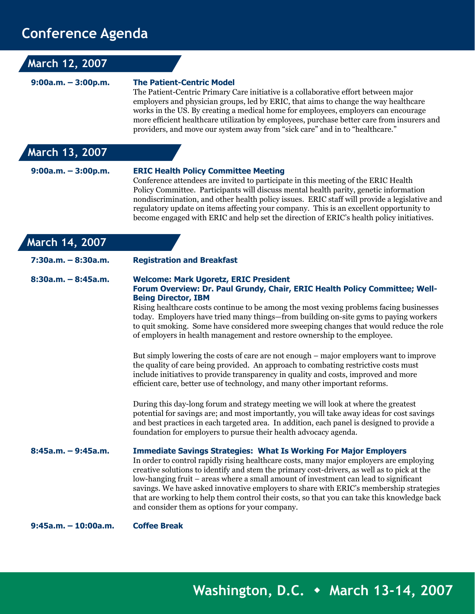## **Conference Agenda**

| March 12, 2007         |                                                                                                                                                                                                                                                                                                                                                                                                                                                                                                                                                                                                       |
|------------------------|-------------------------------------------------------------------------------------------------------------------------------------------------------------------------------------------------------------------------------------------------------------------------------------------------------------------------------------------------------------------------------------------------------------------------------------------------------------------------------------------------------------------------------------------------------------------------------------------------------|
| $9:00a.m. - 3:00p.m.$  | <b>The Patient-Centric Model</b><br>The Patient-Centric Primary Care initiative is a collaborative effort between major<br>employers and physician groups, led by ERIC, that aims to change the way healthcare<br>works in the US. By creating a medical home for employees, employers can encourage<br>more efficient healthcare utilization by employees, purchase better care from insurers and<br>providers, and move our system away from "sick care" and in to "healthcare."                                                                                                                    |
| March 13, 2007         |                                                                                                                                                                                                                                                                                                                                                                                                                                                                                                                                                                                                       |
| $9:00a.m. - 3:00p.m.$  | <b>ERIC Health Policy Committee Meeting</b><br>Conference attendees are invited to participate in this meeting of the ERIC Health<br>Policy Committee. Participants will discuss mental health parity, genetic information<br>nondiscrimination, and other health policy issues. ERIC staff will provide a legislative and<br>regulatory update on items affecting your company. This is an excellent opportunity to<br>become engaged with ERIC and help set the direction of ERIC's health policy initiatives.                                                                                      |
| March 14, 2007         |                                                                                                                                                                                                                                                                                                                                                                                                                                                                                                                                                                                                       |
| 7:30a.m. - 8:30a.m.    | <b>Registration and Breakfast</b>                                                                                                                                                                                                                                                                                                                                                                                                                                                                                                                                                                     |
| $8:30a.m. - 8:45a.m.$  | <b>Welcome: Mark Ugoretz, ERIC President</b><br>Forum Overview: Dr. Paul Grundy, Chair, ERIC Health Policy Committee; Well-<br><b>Being Director, IBM</b><br>Rising healthcare costs continue to be among the most vexing problems facing businesses<br>today. Employers have tried many things—from building on-site gyms to paying workers<br>to quit smoking. Some have considered more sweeping changes that would reduce the role<br>of employers in health management and restore ownership to the employee.                                                                                    |
|                        | But simply lowering the costs of care are not enough – major employers want to improve<br>the quality of care being provided. An approach to combating restrictive costs must<br>include initiatives to provide transparency in quality and costs, improved and more<br>efficient care, better use of technology, and many other important reforms.                                                                                                                                                                                                                                                   |
|                        | During this day-long forum and strategy meeting we will look at where the greatest<br>potential for savings are; and most importantly, you will take away ideas for cost savings<br>and best practices in each targeted area. In addition, each panel is designed to provide a<br>foundation for employers to pursue their health advocacy agenda.                                                                                                                                                                                                                                                    |
| 8:45a.m. - 9:45a.m.    | <b>Immediate Savings Strategies: What Is Working For Major Employers</b><br>In order to control rapidly rising healthcare costs, many major employers are employing<br>creative solutions to identify and stem the primary cost-drivers, as well as to pick at the<br>low-hanging fruit – areas where a small amount of investment can lead to significant<br>savings. We have asked innovative employers to share with ERIC's membership strategies<br>that are working to help them control their costs, so that you can take this knowledge back<br>and consider them as options for your company. |
| $9:45a.m. - 10:00a.m.$ | <b>Coffee Break</b>                                                                                                                                                                                                                                                                                                                                                                                                                                                                                                                                                                                   |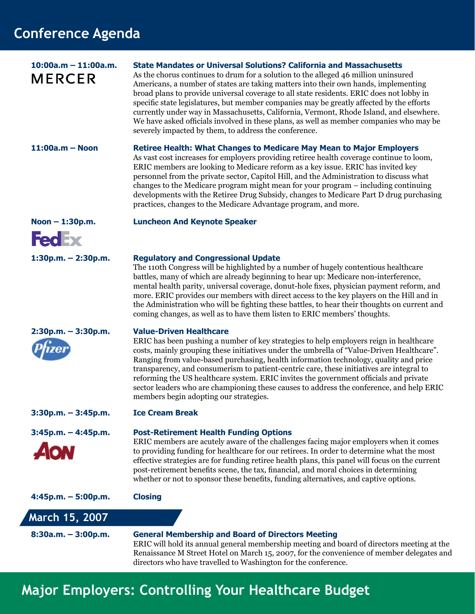## **Conference Agenda**

| $10:00a.m - 11:00a.m.$<br><b>MERCER</b> | <b>State Mandates or Universal Solutions? California and Massachusetts</b><br>As the chorus continues to drum for a solution to the alleged 46 million uninsured<br>Americans, a number of states are taking matters into their own hands, implementing<br>broad plans to provide universal coverage to all state residents. ERIC does not lobby in<br>specific state legislatures, but member companies may be greatly affected by the efforts<br>currently under way in Massachusetts, California, Vermont, Rhode Island, and elsewhere.<br>We have asked officials involved in these plans, as well as member companies who may be<br>severely impacted by them, to address the conference. |
|-----------------------------------------|------------------------------------------------------------------------------------------------------------------------------------------------------------------------------------------------------------------------------------------------------------------------------------------------------------------------------------------------------------------------------------------------------------------------------------------------------------------------------------------------------------------------------------------------------------------------------------------------------------------------------------------------------------------------------------------------|
| $11:00a.m - Noon$                       | <b>Retiree Health: What Changes to Medicare May Mean to Major Employers</b><br>As vast cost increases for employers providing retiree health coverage continue to loom,<br>ERIC members are looking to Medicare reform as a key issue. ERIC has invited key<br>personnel from the private sector, Capitol Hill, and the Administration to discuss what<br>changes to the Medicare program might mean for your program – including continuing<br>developments with the Retiree Drug Subsidy, changes to Medicare Part D drug purchasing<br>practices, changes to the Medicare Advantage program, and more.                                                                                      |
| Noon - 1:30p.m.                         | <b>Luncheon And Keynote Speaker</b>                                                                                                                                                                                                                                                                                                                                                                                                                                                                                                                                                                                                                                                            |
| <b>FedEx</b>                            |                                                                                                                                                                                                                                                                                                                                                                                                                                                                                                                                                                                                                                                                                                |
| $1:30p.m. - 2:30p.m.$                   | <b>Regulatory and Congressional Update</b><br>The 110th Congress will be highlighted by a number of hugely contentious healthcare<br>battles, many of which are already beginning to hear up: Medicare non-interference,<br>mental health parity, universal coverage, donut-hole fixes, physician payment reform, and<br>more. ERIC provides our members with direct access to the key players on the Hill and in<br>the Administration who will be fighting these battles, to hear their thoughts on current and<br>coming changes, as well as to have them listen to ERIC members' thoughts.                                                                                                 |
| $2:30p.m. - 3:30p.m.$                   | <b>Value-Driven Healthcare</b><br>ERIC has been pushing a number of key strategies to help employers reign in healthcare<br>costs, mainly grouping these initiatives under the umbrella of "Value-Driven Healthcare".<br>Ranging from value-based purchasing, health information technology, quality and price<br>transparency, and consumerism to patient-centric care, these initiatives are integral to<br>reforming the US healthcare system. ERIC invites the government officials and private<br>sector leaders who are championing these causes to address the conference, and help ERIC<br>members begin adopting our strategies.                                                      |
| $3:30p.m. - 3:45p.m.$                   | <b>Ice Cream Break</b>                                                                                                                                                                                                                                                                                                                                                                                                                                                                                                                                                                                                                                                                         |
| $3:45p.m. - 4:45p.m.$<br><b>AON</b>     | <b>Post-Retirement Health Funding Options</b><br>ERIC members are acutely aware of the challenges facing major employers when it comes<br>to providing funding for healthcare for our retirees. In order to determine what the most<br>effective strategies are for funding retiree health plans, this panel will focus on the current<br>post-retirement benefits scene, the tax, financial, and moral choices in determining<br>whether or not to sponsor these benefits, funding alternatives, and captive options.                                                                                                                                                                         |
| $4:45p.m. - 5:00p.m.$                   | <b>Closing</b>                                                                                                                                                                                                                                                                                                                                                                                                                                                                                                                                                                                                                                                                                 |
| March 15, 2007                          |                                                                                                                                                                                                                                                                                                                                                                                                                                                                                                                                                                                                                                                                                                |
| 8:30a.m. - 3:00p.m.                     | <b>General Membership and Board of Directors Meeting</b><br>ERIC will hold its annual general membership meeting and board of directors meeting at the<br>Renaissance M Street Hotel on March 15, 2007, for the convenience of member delegates and<br>directors who have travelled to Washington for the conference.                                                                                                                                                                                                                                                                                                                                                                          |

## **Major Employers: Controlling Your Healthcare Budget**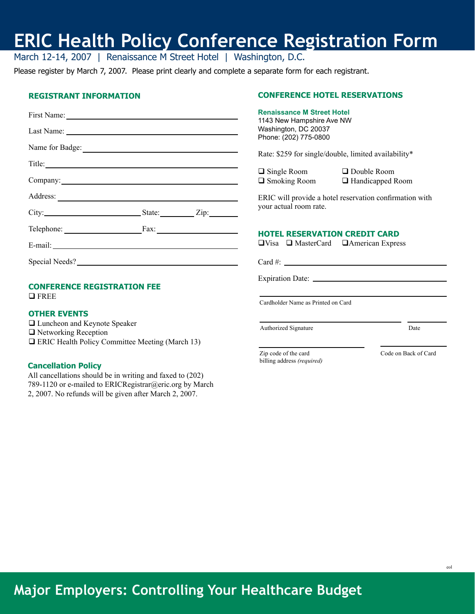# **ERIC Health Policy Conference Registration Form**

March 12-14, 2007 | Renaissance M Street Hotel | Washington, D.C.

Please register by March 7, 2007. Please print clearly and complete a separate form for each registrant.

#### **Registrant Information**

| First Name:              |  |
|--------------------------|--|
|                          |  |
| Name for Badge:          |  |
| Title:                   |  |
|                          |  |
|                          |  |
| City: <u>City:</u> City: |  |
| Telephone: Fax:          |  |
|                          |  |
| Special Needs?           |  |

#### **CONFERENCE REGISTRATION FEE**

**Q**FREE

#### **OTHER EVENTS**

□ Luncheon and Keynote Speaker □ Networking Reception □ ERIC Health Policy Committee Meeting (March 13)

#### **Cancellation Policy**

All cancellations should be in writing and faxed to (202) 789-1120 or e-mailed to ERICRegistrar@eric.org by March 2, 2007. No refunds will be given after March 2, 2007.

#### **CONFERENCE HOTEL RESERVATIONS**

#### **Renaissance M Street Hotel** 1143 New Hampshire Ave NW

Washington, DC 20037 Phone: (202) 775-0800

Rate: \$259 for single/double, limited availability\*

| $\Box$ Single Room  | $\Box$ Double Room      |
|---------------------|-------------------------|
| $\Box$ Smoking Room | $\Box$ Handicapped Room |

ERIC will provide a hotel reservation confirmation with your actual room rate.

#### **HOTEL RESERVATION CREDIT CARD**

 $\Box$ Visa  $\Box$  MasterCard  $\Box$  American Express

Card #:

 $\overline{a}$ 

Expiration Date: \_

Cardholder Name as Printed on Card

Authorized Signature Date

 Zip code of the card Code on Back of Card billing address *(required)*